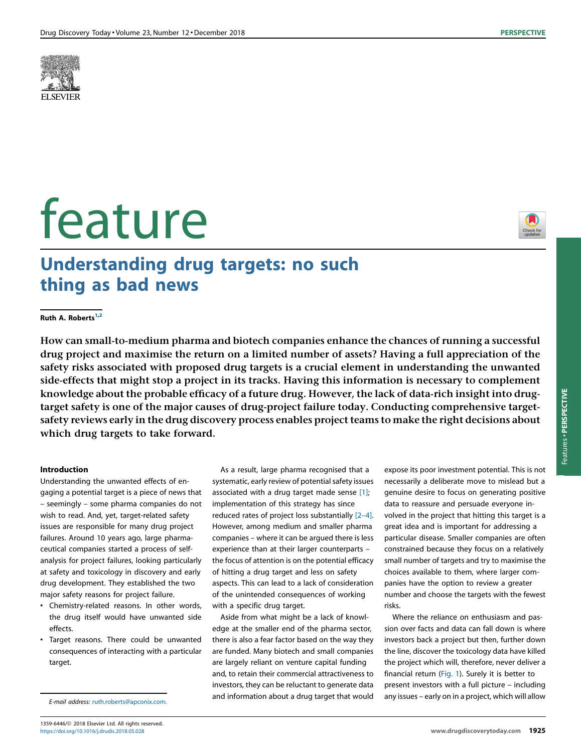

# feature

# Understanding drug targets: no such thing as bad news

# Ruth A. Roberts $1,2$

How can small-to-medium pharma and biotech companies enhance the chances of running a successful drug project and maximise the return on a limited number of assets? Having a full appreciation of the safety risks associated with proposed drug targets is a crucial element in understanding the unwanted side-effects that might stop a project in its tracks. Having this information is necessary to complement knowledge about the probable efficacy of a future drug. However, the lack of data-rich insight into drugtarget safety is one of the major causes of drug-project failure today. Conducting comprehensive targetsafety reviews early in the drug discovery process enables project teams to make the right decisions about which drug targets to take forward.

# Introduction

Understanding the unwanted effects of engaging a potential target is a piece of news that – seemingly – some pharma companies do not wish to read. And, yet, target-related safety issues are responsible for many drug project failures. Around 10 years ago, large pharmaceutical companies started a process of selfanalysis for project failures, looking particularly at safety and toxicology in discovery and early drug development. They established the two major safety reasons for project failure.

- Chemistry-related reasons. In other words, the drug itself would have unwanted side effects.
- Target reasons. There could be unwanted consequences of interacting with a particular target.

E-mail address: [ruth.roberts@apconix.com.](mailto:ruth.roberts@apconix.com)

As a result, large pharma recognised that a systematic, early review of potential safety issues associated with a drug target made sense [\[1\]](#page-3-0); implementation of this strategy has since reduced rates of project loss substantially [2–[4\]](#page-3-0). However, among medium and smaller pharma companies – where it can be argued there is less experience than at their larger counterparts – the focus of attention is on the potential efficacy of hitting a drug target and less on safety aspects. This can lead to a lack of consideration of the unintended consequences of working with a specific drug target.

Aside from what might be a lack of knowledge at the smaller end of the pharma sector, there is also a fear factor based on the way they are funded. Many biotech and small companies are largely reliant on venture capital funding and, to retain their commercial attractiveness to investors, they can be reluctant to generate data and information about a drug target that would

expose its poor investment potential. This is not necessarily a deliberate move to mislead but a genuine desire to focus on generating positive data to reassure and persuade everyone involved in the project that hitting this target is a great idea and is important for addressing a particular disease. Smaller companies are often constrained because they focus on a relatively small number of targets and try to maximise the choices available to them, where larger companies have the option to review a greater number and choose the targets with the fewest risks.

Where the reliance on enthusiasm and passion over facts and data can fall down is where investors back a project but then, further down the line, discover the toxicology data have killed the project which will, therefore, never deliver a financial return [\(Fig.](#page-1-0) 1). Surely it is better to present investors with a full picture – including any issues – early on in a project, which will allow

Check for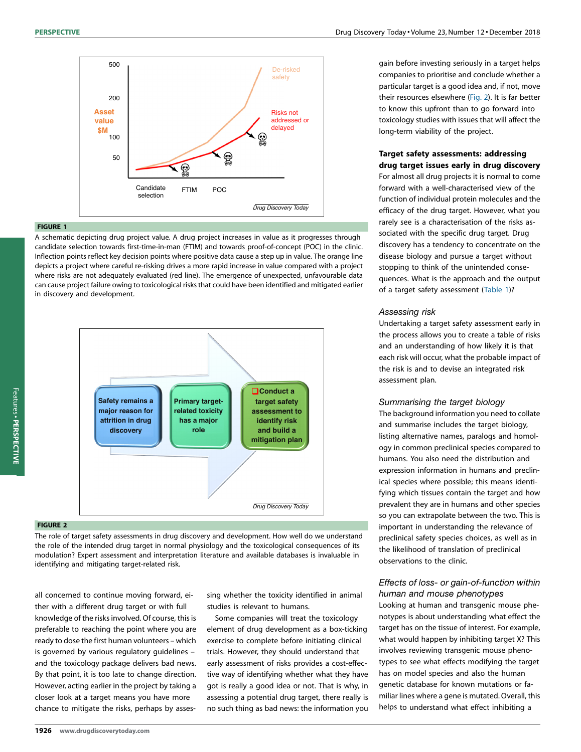<span id="page-1-0"></span>

### FIGURE 1

A schematic depicting drug project value. A drug project increases in value as it progresses through candidate selection towards first-time-in-man (FTIM) and towards proof-of-concept (POC) in the clinic. Inflection points reflect key decision points where positive data cause a step up in value. The orange line depicts a project where careful re-risking drives a more rapid increase in value compared with a project where risks are not adequately evaluated (red line). The emergence of unexpected, unfavourable data can cause project failure owing to toxicological risks that could have been identified and mitigated earlier in discovery and development.



# FIGURE 2

The role of target safety assessments in drug discovery and development. How well do we understand the role of the intended drug target in normal physiology and the toxicological consequences of its modulation? Expert assessment and interpretation literature and available databases is invaluable in identifying and mitigating target-related risk.

all concerned to continue moving forward, either with a different drug target or with full knowledge of the risks involved. Of course, this is preferable to reaching the point where you are ready to dose the first human volunteers – which is governed by various regulatory guidelines – and the toxicology package delivers bad news. By that point, it is too late to change direction. However, acting earlier in the project by taking a closer look at a target means you have more chance to mitigate the risks, perhaps by assessing whether the toxicity identified in animal studies is relevant to humans.

Some companies will treat the toxicology element of drug development as a box-ticking exercise to complete before initiating clinical trials. However, they should understand that early assessment of risks provides a cost-effective way of identifying whether what they have got is really a good idea or not. That is why, in assessing a potential drug target, there really is no such thing as bad news: the information you

gain before investing seriously in a target helps companies to prioritise and conclude whether a particular target is a good idea and, if not, move their resources elsewhere (Fig. 2). It is far better to know this upfront than to go forward into toxicology studies with issues that will affect the long-term viability of the project.

## Target safety assessments: addressing drug target issues early in drug discovery

For almost all drug projects it is normal to come forward with a well-characterised view of the function of individual protein molecules and the efficacy of the drug target. However, what you rarely see is a characterisation of the risks associated with the specific drug target. Drug discovery has a tendency to concentrate on the disease biology and pursue a target without stopping to think of the unintended consequences. What is the approach and the output of a target safety assessment [\(Table](#page-2-0) 1)?

#### Assessing risk

Undertaking a target safety assessment early in the process allows you to create a table of risks and an understanding of how likely it is that each risk will occur, what the probable impact of the risk is and to devise an integrated risk assessment plan.

#### Summarising the target biology

The background information you need to collate and summarise includes the target biology, listing alternative names, paralogs and homology in common preclinical species compared to humans. You also need the distribution and expression information in humans and preclinical species where possible; this means identifying which tissues contain the target and how prevalent they are in humans and other species so you can extrapolate between the two. This is important in understanding the relevance of preclinical safety species choices, as well as in the likelihood of translation of preclinical observations to the clinic.

# Effects of loss- or gain-of-function within human and mouse phenotypes

Looking at human and transgenic mouse phenotypes is about understanding what effect the target has on the tissue of interest. For example, what would happen by inhibiting target X? This involves reviewing transgenic mouse phenotypes to see what effects modifying the target has on model species and also the human genetic database for known mutations or familiar lines where a gene is mutated. Overall, this helps to understand what effect inhibiting a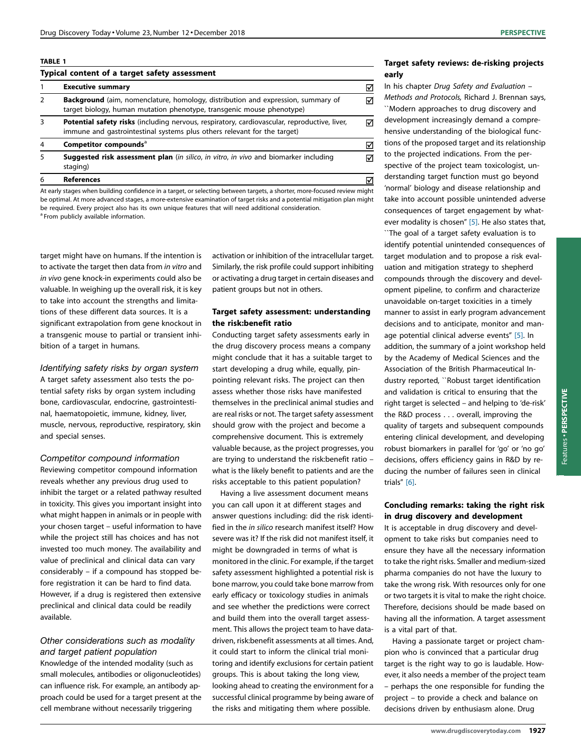#### <span id="page-2-0"></span>TABLE 1

| Typical content of a target safety assessment |                                                                                                                                                                                 |   |
|-----------------------------------------------|---------------------------------------------------------------------------------------------------------------------------------------------------------------------------------|---|
|                                               | <b>Executive summary</b>                                                                                                                                                        | ☑ |
| $\mathcal{P}$                                 | <b>Background</b> (aim, nomenclature, homology, distribution and expression, summary of<br>target biology, human mutation phenotype, transgenic mouse phenotype)                | ⊽ |
| 3                                             | <b>Potential safety risks</b> (including nervous, respiratory, cardiovascular, reproductive, liver,<br>immune and gastrointestinal systems plus others relevant for the target) | ⊽ |
| 4                                             | Competitor compounds <sup>a</sup>                                                                                                                                               | ⊽ |
| 5                                             | <b>Suggested risk assessment plan</b> (in silico, in vitro, in vivo and biomarker including<br>staging)                                                                         | ☑ |
| 6                                             | <b>References</b>                                                                                                                                                               | ⋈ |

At early stages when building confidence in a target, or selecting between targets, a shorter, more-focused review might be optimal. At more advanced stages, a more-extensive examination of target risks and a potential mitigation plan might be required. Every project also has its own unique features that will need additional consideration. <sup>a</sup> From publicly available information.

target might have on humans. If the intention is to activate the target then data from in vitro and in vivo gene knock-in experiments could also be valuable. In weighing up the overall risk, it is key to take into account the strengths and limitations of these different data sources. It is a significant extrapolation from gene knockout in a transgenic mouse to partial or transient inhibition of a target in humans.

Identifying safety risks by organ system

A target safety assessment also tests the potential safety risks by organ system including bone, cardiovascular, endocrine, gastrointestinal, haematopoietic, immune, kidney, liver, muscle, nervous, reproductive, respiratory, skin and special senses.

#### Competitor compound information

Reviewing competitor compound information reveals whether any previous drug used to inhibit the target or a related pathway resulted in toxicity. This gives you important insight into what might happen in animals or in people with your chosen target – useful information to have while the project still has choices and has not invested too much money. The availability and value of preclinical and clinical data can vary considerably – if a compound has stopped before registration it can be hard to find data. However, if a drug is registered then extensive preclinical and clinical data could be readily available.

# Other considerations such as modality and target patient population

Knowledge of the intended modality (such as small molecules, antibodies or oligonucleotides) can influence risk. For example, an antibody approach could be used for a target present at the cell membrane without necessarily triggering

activation or inhibition of the intracellular target. Similarly, the risk profile could support inhibiting or activating a drug target in certain diseases and patient groups but not in others.

# Target safety assessment: understanding the risk:benefit ratio

Conducting target safety assessments early in the drug discovery process means a company might conclude that it has a suitable target to start developing a drug while, equally, pinpointing relevant risks. The project can then assess whether those risks have manifested themselves in the preclinical animal studies and are real risks or not. The target safety assessment should grow with the project and become a comprehensive document. This is extremely valuable because, as the project progresses, you are trying to understand the risk:benefit ratio – what is the likely benefit to patients and are the risks acceptable to this patient population?

Having a live assessment document means you can call upon it at different stages and answer questions including: did the risk identified in the in silico research manifest itself? How severe was it? If the risk did not manifest itself, it might be downgraded in terms of what is monitored in the clinic. For example, if the target safety assessment highlighted a potential risk is bone marrow, you could take bone marrow from early efficacy or toxicology studies in animals and see whether the predictions were correct and build them into the overall target assessment. This allows the project team to have datadriven, risk:benefit assessments at all times. And, it could start to inform the clinical trial monitoring and identify exclusions for certain patient groups. This is about taking the long view, looking ahead to creating the environment for a successful clinical programme by being aware of the risks and mitigating them where possible.

# Target safety reviews: de-risking projects early

In his chapter Drug Safety and Evaluation – Methods and Protocols, Richard J. Brennan says, ``Modern approaches to drug discovery and development increasingly demand a comprehensive understanding of the biological functions of the proposed target and its relationship to the projected indications. From the perspective of the project team toxicologist, understanding target function must go beyond 'normal' biology and disease relationship and take into account possible unintended adverse consequences of target engagement by what-ever modality is chosen" [\[5\].](#page-3-0) He also states that, ``The goal of a target safety evaluation is to identify potential unintended consequences of target modulation and to propose a risk evaluation and mitigation strategy to shepherd compounds through the discovery and development pipeline, to confirm and characterize unavoidable on-target toxicities in a timely manner to assist in early program advancement decisions and to anticipate, monitor and manage potential clinical adverse events" [\[5\].](#page-3-0) In addition, the summary of a joint workshop held by the Academy of Medical Sciences and the Association of the British Pharmaceutical Industry reported, ``Robust target identification and validation is critical to ensuring that the right target is selected – and helping to 'de-risk' the R&D process . . . overall, improving the quality of targets and subsequent compounds entering clinical development, and developing robust biomarkers in parallel for 'go' or 'no go' decisions, offers efficiency gains in R&D by reducing the number of failures seen in clinical trials" [\[6\]](#page-3-0).

# Concluding remarks: taking the right risk in drug discovery and development

It is acceptable in drug discovery and development to take risks but companies need to ensure they have all the necessary information to take the right risks. Smaller and medium-sized pharma companies do not have the luxury to take the wrong risk. With resources only for one or two targets it is vital to make the right choice. Therefore, decisions should be made based on having all the information. A target assessment is a vital part of that.

Having a passionate target or project champion who is convinced that a particular drug target is the right way to go is laudable. However, it also needs a member of the project team – perhaps the one responsible for funding the project – to provide a check and balance on decisions driven by enthusiasm alone. Drug